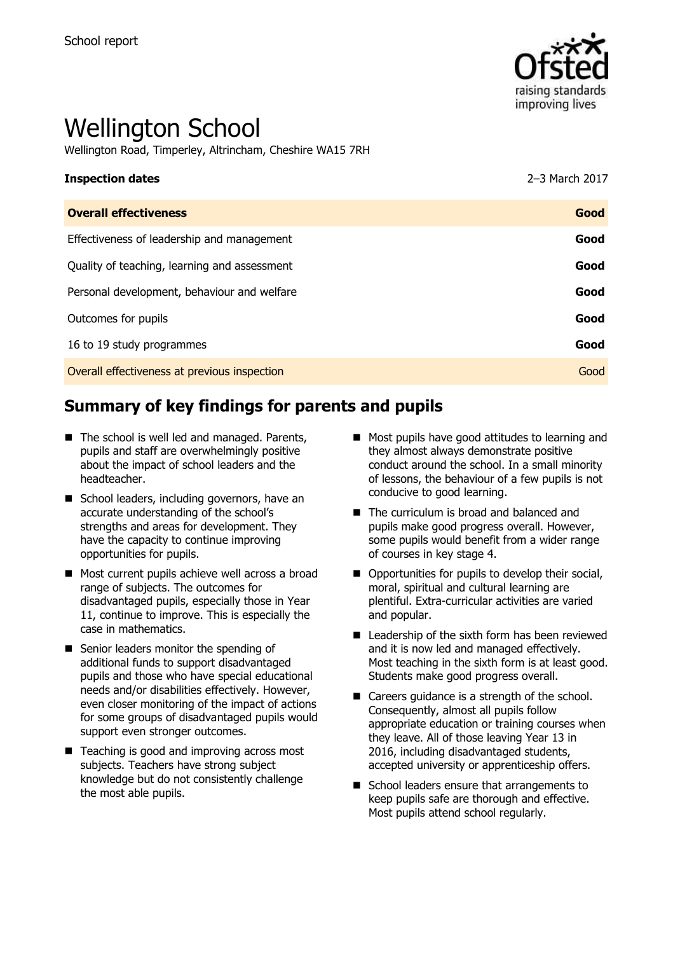

# Wellington School

Wellington Road, Timperley, Altrincham, Cheshire WA15 7RH

#### **Inspection dates** 2–3 March 2017

| <b>Overall effectiveness</b>                 | Good |
|----------------------------------------------|------|
| Effectiveness of leadership and management   | Good |
| Quality of teaching, learning and assessment | Good |
| Personal development, behaviour and welfare  | Good |
| Outcomes for pupils                          | Good |
| 16 to 19 study programmes                    | Good |
| Overall effectiveness at previous inspection | Good |
|                                              |      |

# **Summary of key findings for parents and pupils**

- The school is well led and managed. Parents, pupils and staff are overwhelmingly positive about the impact of school leaders and the headteacher.
- School leaders, including governors, have an accurate understanding of the school's strengths and areas for development. They have the capacity to continue improving opportunities for pupils.
- Most current pupils achieve well across a broad range of subjects. The outcomes for disadvantaged pupils, especially those in Year 11, continue to improve. This is especially the case in mathematics.
- Senior leaders monitor the spending of additional funds to support disadvantaged pupils and those who have special educational needs and/or disabilities effectively. However, even closer monitoring of the impact of actions for some groups of disadvantaged pupils would support even stronger outcomes.
- Teaching is good and improving across most subjects. Teachers have strong subject knowledge but do not consistently challenge the most able pupils.
- **Most pupils have good attitudes to learning and** they almost always demonstrate positive conduct around the school. In a small minority of lessons, the behaviour of a few pupils is not conducive to good learning.
- The curriculum is broad and balanced and pupils make good progress overall. However, some pupils would benefit from a wider range of courses in key stage 4.
- Opportunities for pupils to develop their social, moral, spiritual and cultural learning are plentiful. Extra-curricular activities are varied and popular.
- Leadership of the sixth form has been reviewed and it is now led and managed effectively. Most teaching in the sixth form is at least good. Students make good progress overall.
- Careers quidance is a strength of the school. Consequently, almost all pupils follow appropriate education or training courses when they leave. All of those leaving Year 13 in 2016, including disadvantaged students, accepted university or apprenticeship offers.
- School leaders ensure that arrangements to keep pupils safe are thorough and effective. Most pupils attend school regularly.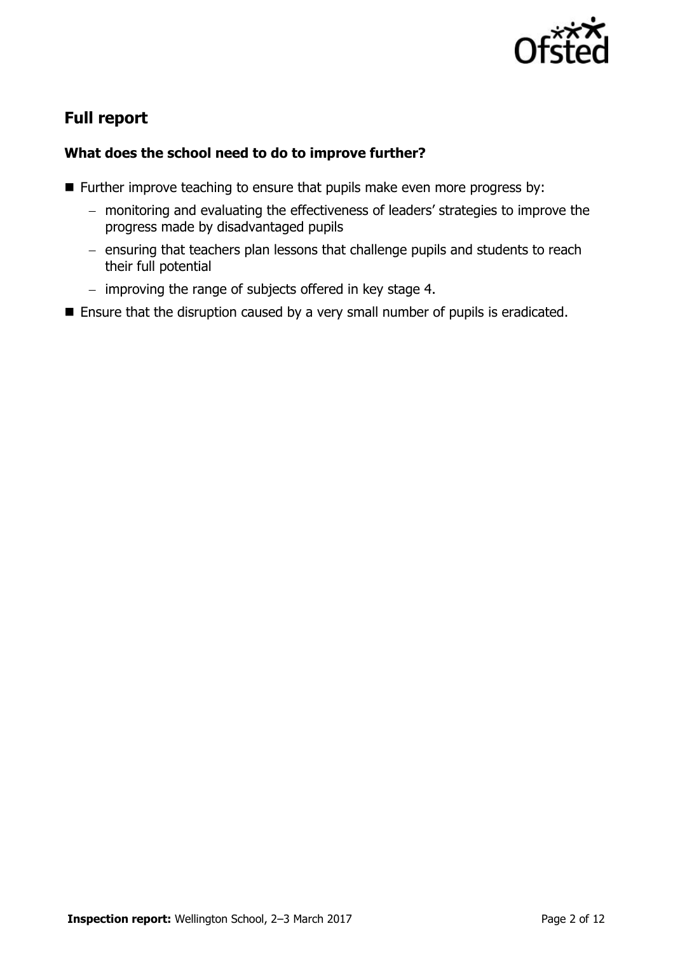

# **Full report**

## **What does the school need to do to improve further?**

- **Further improve teaching to ensure that pupils make even more progress by:** 
	- monitoring and evaluating the effectiveness of leaders' strategies to improve the progress made by disadvantaged pupils
	- ensuring that teachers plan lessons that challenge pupils and students to reach their full potential
	- $-$  improving the range of subjects offered in key stage 4.
- Ensure that the disruption caused by a very small number of pupils is eradicated.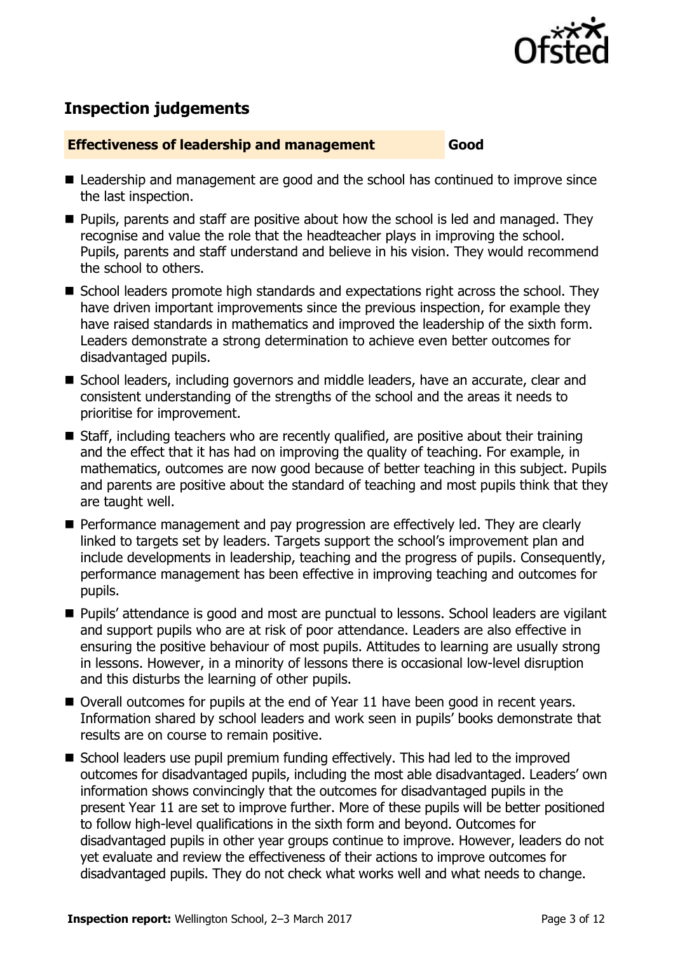

# **Inspection judgements**

#### **Effectiveness of leadership and management Good**

- Leadership and management are good and the school has continued to improve since the last inspection.
- $\blacksquare$  Pupils, parents and staff are positive about how the school is led and managed. They recognise and value the role that the headteacher plays in improving the school. Pupils, parents and staff understand and believe in his vision. They would recommend the school to others.
- School leaders promote high standards and expectations right across the school. They have driven important improvements since the previous inspection, for example they have raised standards in mathematics and improved the leadership of the sixth form. Leaders demonstrate a strong determination to achieve even better outcomes for disadvantaged pupils.
- School leaders, including governors and middle leaders, have an accurate, clear and consistent understanding of the strengths of the school and the areas it needs to prioritise for improvement.
- Staff, including teachers who are recently qualified, are positive about their training and the effect that it has had on improving the quality of teaching. For example, in mathematics, outcomes are now good because of better teaching in this subject. Pupils and parents are positive about the standard of teaching and most pupils think that they are taught well.
- Performance management and pay progression are effectively led. They are clearly linked to targets set by leaders. Targets support the school's improvement plan and include developments in leadership, teaching and the progress of pupils. Consequently, performance management has been effective in improving teaching and outcomes for pupils.
- **Pupils' attendance is good and most are punctual to lessons. School leaders are vigilant** and support pupils who are at risk of poor attendance. Leaders are also effective in ensuring the positive behaviour of most pupils. Attitudes to learning are usually strong in lessons. However, in a minority of lessons there is occasional low-level disruption and this disturbs the learning of other pupils.
- Overall outcomes for pupils at the end of Year 11 have been good in recent vears. Information shared by school leaders and work seen in pupils' books demonstrate that results are on course to remain positive.
- School leaders use pupil premium funding effectively. This had led to the improved outcomes for disadvantaged pupils, including the most able disadvantaged. Leaders' own information shows convincingly that the outcomes for disadvantaged pupils in the present Year 11 are set to improve further. More of these pupils will be better positioned to follow high-level qualifications in the sixth form and beyond. Outcomes for disadvantaged pupils in other year groups continue to improve. However, leaders do not yet evaluate and review the effectiveness of their actions to improve outcomes for disadvantaged pupils. They do not check what works well and what needs to change.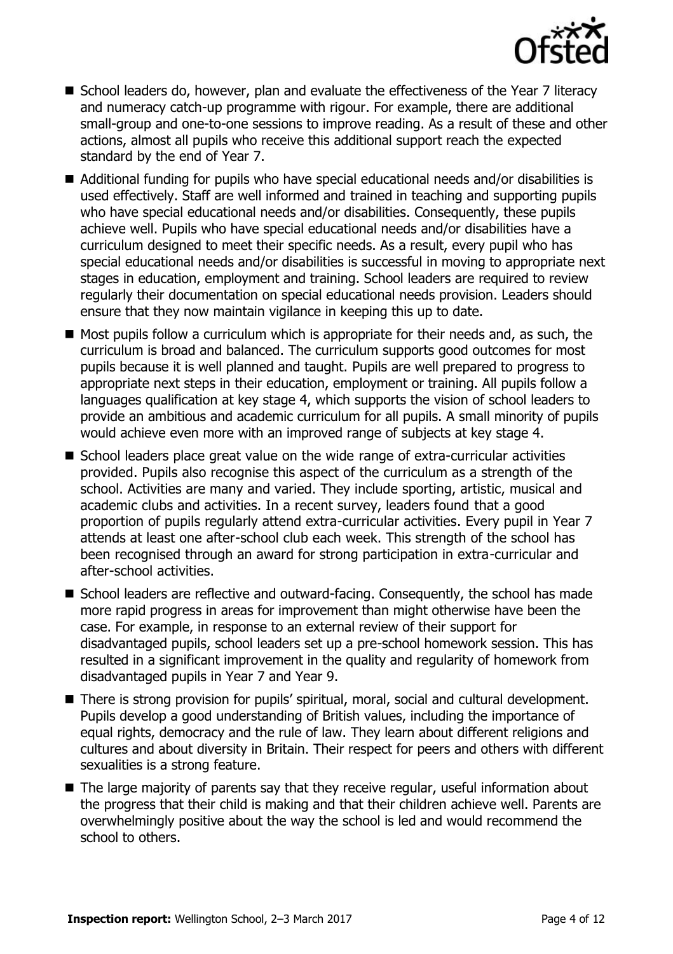

- School leaders do, however, plan and evaluate the effectiveness of the Year 7 literacy and numeracy catch-up programme with rigour. For example, there are additional small-group and one-to-one sessions to improve reading. As a result of these and other actions, almost all pupils who receive this additional support reach the expected standard by the end of Year 7.
- Additional funding for pupils who have special educational needs and/or disabilities is used effectively. Staff are well informed and trained in teaching and supporting pupils who have special educational needs and/or disabilities. Consequently, these pupils achieve well. Pupils who have special educational needs and/or disabilities have a curriculum designed to meet their specific needs. As a result, every pupil who has special educational needs and/or disabilities is successful in moving to appropriate next stages in education, employment and training. School leaders are required to review regularly their documentation on special educational needs provision. Leaders should ensure that they now maintain vigilance in keeping this up to date.
- $\blacksquare$  Most pupils follow a curriculum which is appropriate for their needs and, as such, the curriculum is broad and balanced. The curriculum supports good outcomes for most pupils because it is well planned and taught. Pupils are well prepared to progress to appropriate next steps in their education, employment or training. All pupils follow a languages qualification at key stage 4, which supports the vision of school leaders to provide an ambitious and academic curriculum for all pupils. A small minority of pupils would achieve even more with an improved range of subjects at key stage 4.
- School leaders place great value on the wide range of extra-curricular activities provided. Pupils also recognise this aspect of the curriculum as a strength of the school. Activities are many and varied. They include sporting, artistic, musical and academic clubs and activities. In a recent survey, leaders found that a good proportion of pupils regularly attend extra-curricular activities. Every pupil in Year 7 attends at least one after-school club each week. This strength of the school has been recognised through an award for strong participation in extra-curricular and after-school activities.
- School leaders are reflective and outward-facing. Consequently, the school has made more rapid progress in areas for improvement than might otherwise have been the case. For example, in response to an external review of their support for disadvantaged pupils, school leaders set up a pre-school homework session. This has resulted in a significant improvement in the quality and regularity of homework from disadvantaged pupils in Year 7 and Year 9.
- There is strong provision for pupils' spiritual, moral, social and cultural development. Pupils develop a good understanding of British values, including the importance of equal rights, democracy and the rule of law. They learn about different religions and cultures and about diversity in Britain. Their respect for peers and others with different sexualities is a strong feature.
- The large majority of parents say that they receive regular, useful information about the progress that their child is making and that their children achieve well. Parents are overwhelmingly positive about the way the school is led and would recommend the school to others.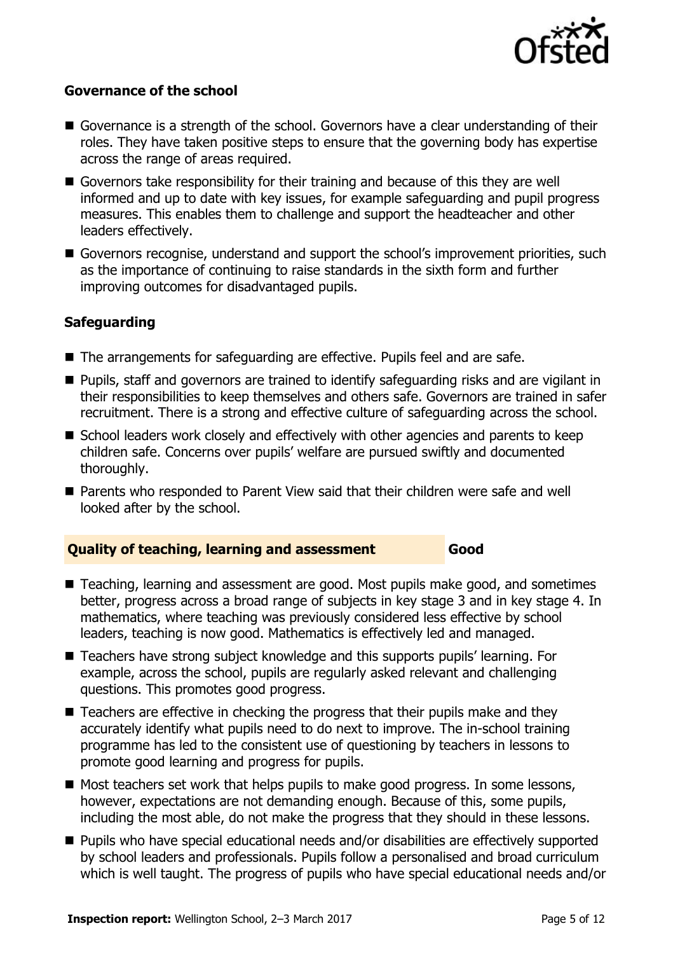

## **Governance of the school**

- Governance is a strength of the school. Governors have a clear understanding of their roles. They have taken positive steps to ensure that the governing body has expertise across the range of areas required.
- Governors take responsibility for their training and because of this they are well informed and up to date with key issues, for example safeguarding and pupil progress measures. This enables them to challenge and support the headteacher and other leaders effectively.
- Governors recognise, understand and support the school's improvement priorities, such as the importance of continuing to raise standards in the sixth form and further improving outcomes for disadvantaged pupils.

## **Safeguarding**

- The arrangements for safeguarding are effective. Pupils feel and are safe.
- Pupils, staff and governors are trained to identify safeguarding risks and are vigilant in their responsibilities to keep themselves and others safe. Governors are trained in safer recruitment. There is a strong and effective culture of safeguarding across the school.
- School leaders work closely and effectively with other agencies and parents to keep children safe. Concerns over pupils' welfare are pursued swiftly and documented thoroughly.
- Parents who responded to Parent View said that their children were safe and well looked after by the school.

#### **Quality of teaching, learning and assessment Good**

- Teaching, learning and assessment are good. Most pupils make good, and sometimes better, progress across a broad range of subjects in key stage 3 and in key stage 4. In mathematics, where teaching was previously considered less effective by school leaders, teaching is now good. Mathematics is effectively led and managed.
- Teachers have strong subject knowledge and this supports pupils' learning. For example, across the school, pupils are regularly asked relevant and challenging questions. This promotes good progress.
- Teachers are effective in checking the progress that their pupils make and they accurately identify what pupils need to do next to improve. The in-school training programme has led to the consistent use of questioning by teachers in lessons to promote good learning and progress for pupils.
- $\blacksquare$  Most teachers set work that helps pupils to make good progress. In some lessons, however, expectations are not demanding enough. Because of this, some pupils, including the most able, do not make the progress that they should in these lessons.
- Pupils who have special educational needs and/or disabilities are effectively supported by school leaders and professionals. Pupils follow a personalised and broad curriculum which is well taught. The progress of pupils who have special educational needs and/or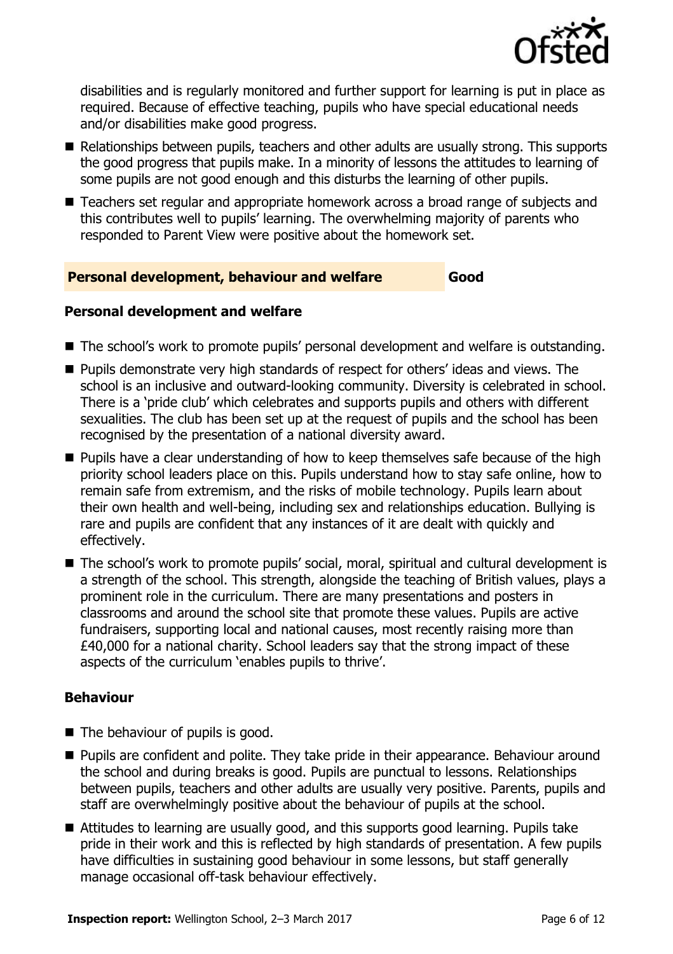

disabilities and is regularly monitored and further support for learning is put in place as required. Because of effective teaching, pupils who have special educational needs and/or disabilities make good progress.

- Relationships between pupils, teachers and other adults are usually strong. This supports the good progress that pupils make. In a minority of lessons the attitudes to learning of some pupils are not good enough and this disturbs the learning of other pupils.
- Teachers set regular and appropriate homework across a broad range of subjects and this contributes well to pupils' learning. The overwhelming majority of parents who responded to Parent View were positive about the homework set.

#### **Personal development, behaviour and welfare Good**

#### **Personal development and welfare**

- The school's work to promote pupils' personal development and welfare is outstanding.
- **Pupils demonstrate very high standards of respect for others' ideas and views. The** school is an inclusive and outward-looking community. Diversity is celebrated in school. There is a 'pride club' which celebrates and supports pupils and others with different sexualities. The club has been set up at the request of pupils and the school has been recognised by the presentation of a national diversity award.
- **Pupils have a clear understanding of how to keep themselves safe because of the high** priority school leaders place on this. Pupils understand how to stay safe online, how to remain safe from extremism, and the risks of mobile technology. Pupils learn about their own health and well-being, including sex and relationships education. Bullying is rare and pupils are confident that any instances of it are dealt with quickly and effectively.
- The school's work to promote pupils' social, moral, spiritual and cultural development is a strength of the school. This strength, alongside the teaching of British values, plays a prominent role in the curriculum. There are many presentations and posters in classrooms and around the school site that promote these values. Pupils are active fundraisers, supporting local and national causes, most recently raising more than £40,000 for a national charity. School leaders say that the strong impact of these aspects of the curriculum 'enables pupils to thrive'.

#### **Behaviour**

- $\blacksquare$  The behaviour of pupils is good.
- **Pupils are confident and polite. They take pride in their appearance. Behaviour around** the school and during breaks is good. Pupils are punctual to lessons. Relationships between pupils, teachers and other adults are usually very positive. Parents, pupils and staff are overwhelmingly positive about the behaviour of pupils at the school.
- Attitudes to learning are usually good, and this supports good learning. Pupils take pride in their work and this is reflected by high standards of presentation. A few pupils have difficulties in sustaining good behaviour in some lessons, but staff generally manage occasional off-task behaviour effectively.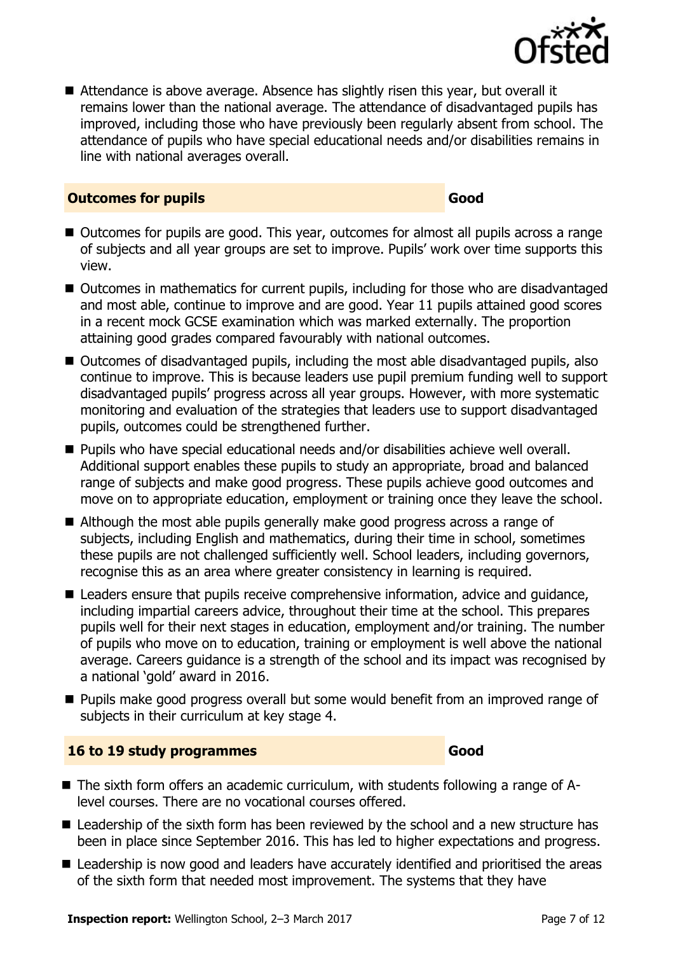

■ Attendance is above average. Absence has slightly risen this year, but overall it remains lower than the national average. The attendance of disadvantaged pupils has improved, including those who have previously been regularly absent from school. The attendance of pupils who have special educational needs and/or disabilities remains in line with national averages overall.

#### **Outcomes for pupils Good**

- Outcomes for pupils are good. This year, outcomes for almost all pupils across a range of subjects and all year groups are set to improve. Pupils' work over time supports this view.
- Outcomes in mathematics for current pupils, including for those who are disadvantaged and most able, continue to improve and are good. Year 11 pupils attained good scores in a recent mock GCSE examination which was marked externally. The proportion attaining good grades compared favourably with national outcomes.
- Outcomes of disadvantaged pupils, including the most able disadvantaged pupils, also continue to improve. This is because leaders use pupil premium funding well to support disadvantaged pupils' progress across all year groups. However, with more systematic monitoring and evaluation of the strategies that leaders use to support disadvantaged pupils, outcomes could be strengthened further.
- Pupils who have special educational needs and/or disabilities achieve well overall. Additional support enables these pupils to study an appropriate, broad and balanced range of subjects and make good progress. These pupils achieve good outcomes and move on to appropriate education, employment or training once they leave the school.
- Although the most able pupils generally make good progress across a range of subjects, including English and mathematics, during their time in school, sometimes these pupils are not challenged sufficiently well. School leaders, including governors, recognise this as an area where greater consistency in learning is required.
- Leaders ensure that pupils receive comprehensive information, advice and quidance, including impartial careers advice, throughout their time at the school. This prepares pupils well for their next stages in education, employment and/or training. The number of pupils who move on to education, training or employment is well above the national average. Careers guidance is a strength of the school and its impact was recognised by a national 'gold' award in 2016.
- **Pupils make good progress overall but some would benefit from an improved range of** subjects in their curriculum at key stage 4.

#### **16 to 19 study programmes Good**

- The sixth form offers an academic curriculum, with students following a range of Alevel courses. There are no vocational courses offered.
- Leadership of the sixth form has been reviewed by the school and a new structure has been in place since September 2016. This has led to higher expectations and progress.
- Leadership is now good and leaders have accurately identified and prioritised the areas of the sixth form that needed most improvement. The systems that they have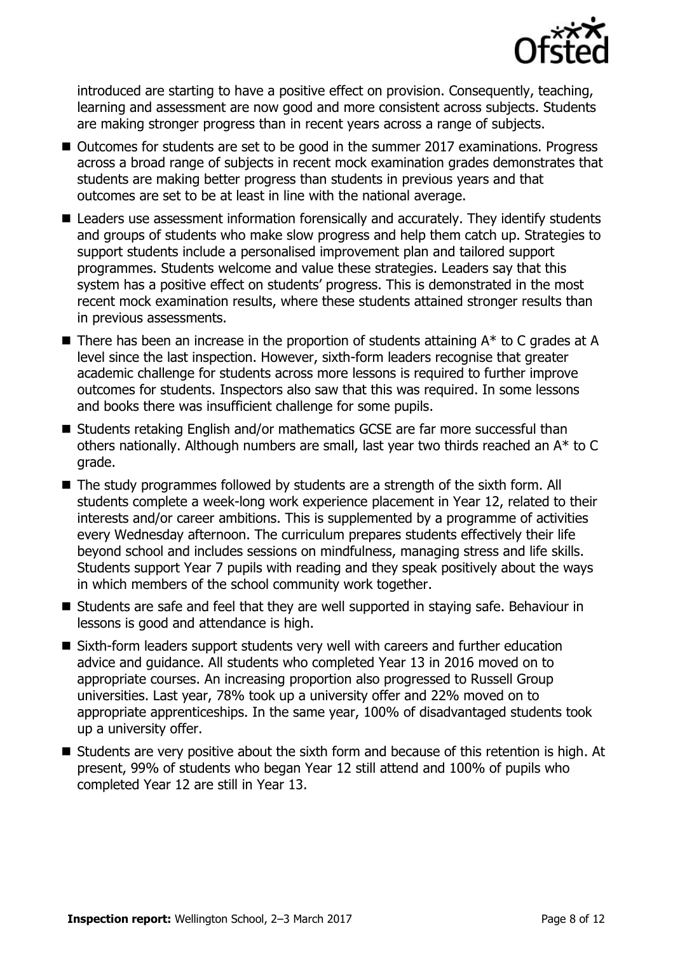

introduced are starting to have a positive effect on provision. Consequently, teaching, learning and assessment are now good and more consistent across subjects. Students are making stronger progress than in recent years across a range of subjects.

- Outcomes for students are set to be good in the summer 2017 examinations. Progress across a broad range of subjects in recent mock examination grades demonstrates that students are making better progress than students in previous years and that outcomes are set to be at least in line with the national average.
- Leaders use assessment information forensically and accurately. They identify students and groups of students who make slow progress and help them catch up. Strategies to support students include a personalised improvement plan and tailored support programmes. Students welcome and value these strategies. Leaders say that this system has a positive effect on students' progress. This is demonstrated in the most recent mock examination results, where these students attained stronger results than in previous assessments.
- $\blacksquare$  There has been an increase in the proportion of students attaining  $A^*$  to C grades at A level since the last inspection. However, sixth-form leaders recognise that greater academic challenge for students across more lessons is required to further improve outcomes for students. Inspectors also saw that this was required. In some lessons and books there was insufficient challenge for some pupils.
- Students retaking English and/or mathematics GCSE are far more successful than others nationally. Although numbers are small, last year two thirds reached an A\* to C grade.
- The study programmes followed by students are a strength of the sixth form. All students complete a week-long work experience placement in Year 12, related to their interests and/or career ambitions. This is supplemented by a programme of activities every Wednesday afternoon. The curriculum prepares students effectively their life beyond school and includes sessions on mindfulness, managing stress and life skills. Students support Year 7 pupils with reading and they speak positively about the ways in which members of the school community work together.
- Students are safe and feel that they are well supported in staying safe. Behaviour in lessons is good and attendance is high.
- Sixth-form leaders support students very well with careers and further education advice and guidance. All students who completed Year 13 in 2016 moved on to appropriate courses. An increasing proportion also progressed to Russell Group universities. Last year, 78% took up a university offer and 22% moved on to appropriate apprenticeships. In the same year, 100% of disadvantaged students took up a university offer.
- Students are very positive about the sixth form and because of this retention is high. At present, 99% of students who began Year 12 still attend and 100% of pupils who completed Year 12 are still in Year 13.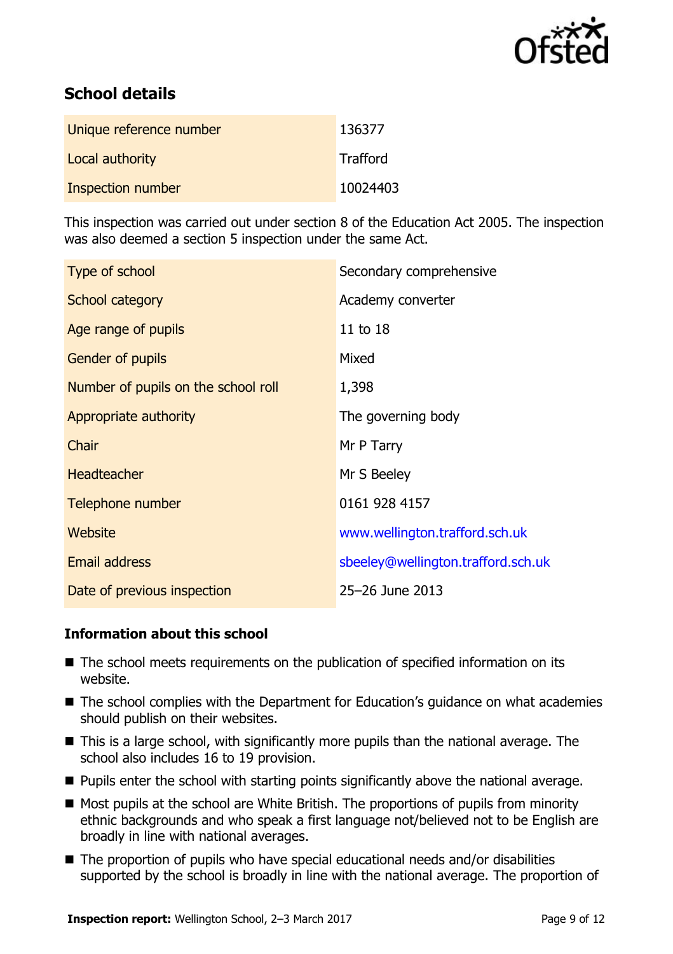

# **School details**

| Unique reference number | 136377   |
|-------------------------|----------|
| Local authority         | Trafford |
| Inspection number       | 10024403 |

This inspection was carried out under section 8 of the Education Act 2005. The inspection was also deemed a section 5 inspection under the same Act.

| Type of school                      | Secondary comprehensive            |
|-------------------------------------|------------------------------------|
| School category                     | Academy converter                  |
| Age range of pupils                 | 11 to 18                           |
| <b>Gender of pupils</b>             | Mixed                              |
| Number of pupils on the school roll | 1,398                              |
| Appropriate authority               | The governing body                 |
| Chair                               | Mr P Tarry                         |
| Headteacher                         | Mr S Beeley                        |
| Telephone number                    | 0161 928 4157                      |
| Website                             | www.wellington.trafford.sch.uk     |
| <b>Email address</b>                | sbeeley@wellington.trafford.sch.uk |
| Date of previous inspection         | 25-26 June 2013                    |

#### **Information about this school**

- The school meets requirements on the publication of specified information on its website.
- The school complies with the Department for Education's quidance on what academies should publish on their websites.
- This is a large school, with significantly more pupils than the national average. The school also includes 16 to 19 provision.
- **Pupils enter the school with starting points significantly above the national average.**
- Most pupils at the school are White British. The proportions of pupils from minority ethnic backgrounds and who speak a first language not/believed not to be English are broadly in line with national averages.
- The proportion of pupils who have special educational needs and/or disabilities supported by the school is broadly in line with the national average. The proportion of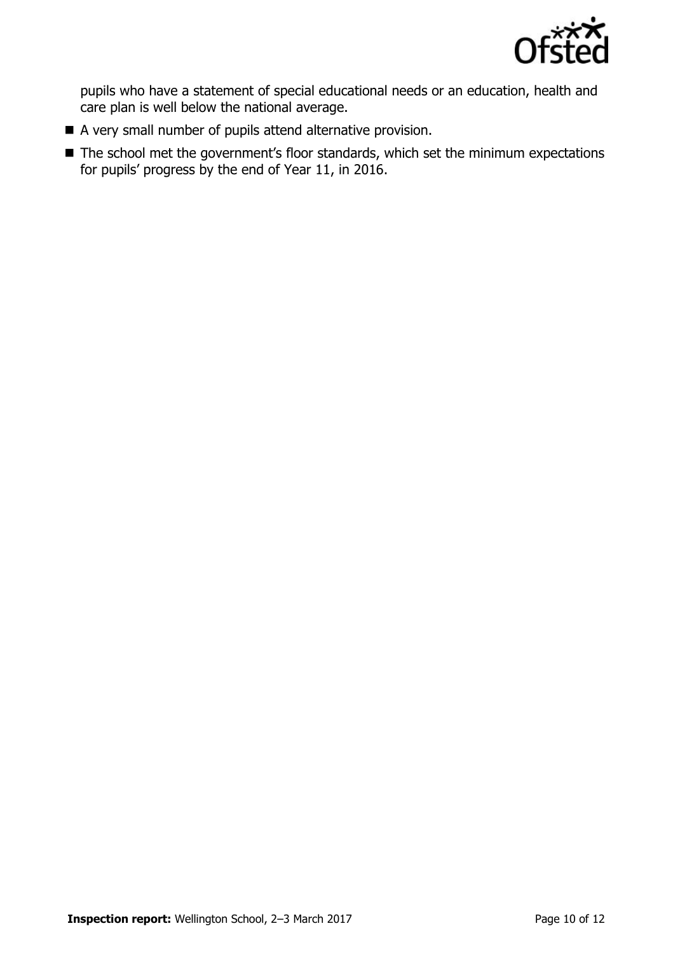

pupils who have a statement of special educational needs or an education, health and care plan is well below the national average.

- A very small number of pupils attend alternative provision.
- The school met the government's floor standards, which set the minimum expectations for pupils' progress by the end of Year 11, in 2016.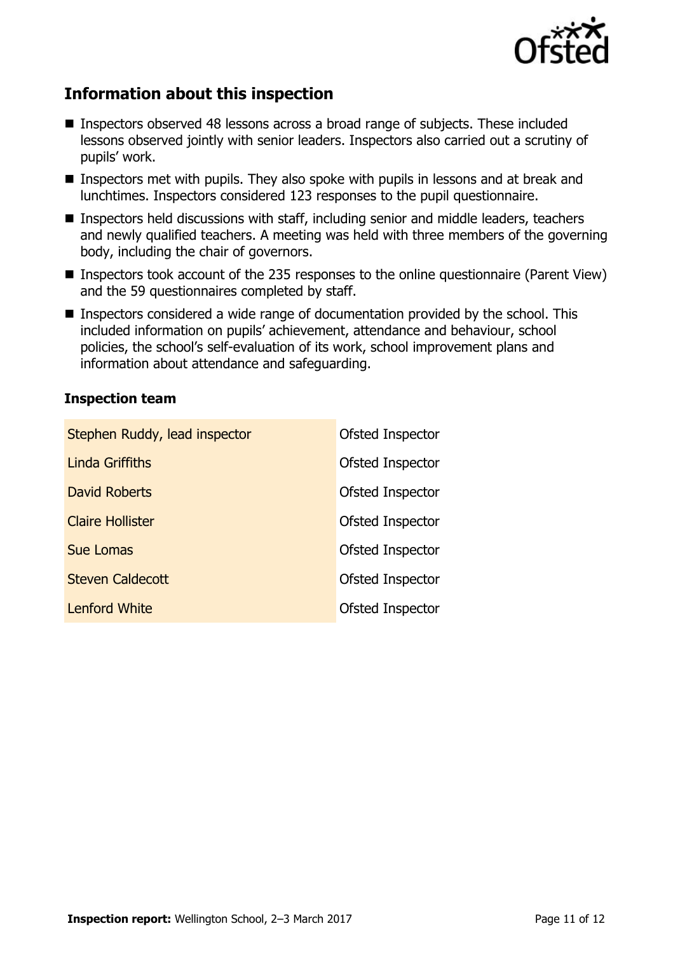

## **Information about this inspection**

- Inspectors observed 48 lessons across a broad range of subjects. These included lessons observed jointly with senior leaders. Inspectors also carried out a scrutiny of pupils' work.
- Inspectors met with pupils. They also spoke with pupils in lessons and at break and lunchtimes. Inspectors considered 123 responses to the pupil questionnaire.
- Inspectors held discussions with staff, including senior and middle leaders, teachers and newly qualified teachers. A meeting was held with three members of the governing body, including the chair of governors.
- Inspectors took account of the 235 responses to the online questionnaire (Parent View) and the 59 questionnaires completed by staff.
- Inspectors considered a wide range of documentation provided by the school. This included information on pupils' achievement, attendance and behaviour, school policies, the school's self-evaluation of its work, school improvement plans and information about attendance and safeguarding.

## **Inspection team**

| Stephen Ruddy, lead inspector | <b>Ofsted Inspector</b> |
|-------------------------------|-------------------------|
| <b>Linda Griffiths</b>        | <b>Ofsted Inspector</b> |
| <b>David Roberts</b>          | Ofsted Inspector        |
| <b>Claire Hollister</b>       | Ofsted Inspector        |
| <b>Sue Lomas</b>              | <b>Ofsted Inspector</b> |
| <b>Steven Caldecott</b>       | Ofsted Inspector        |
| <b>Lenford White</b>          | Ofsted Inspector        |